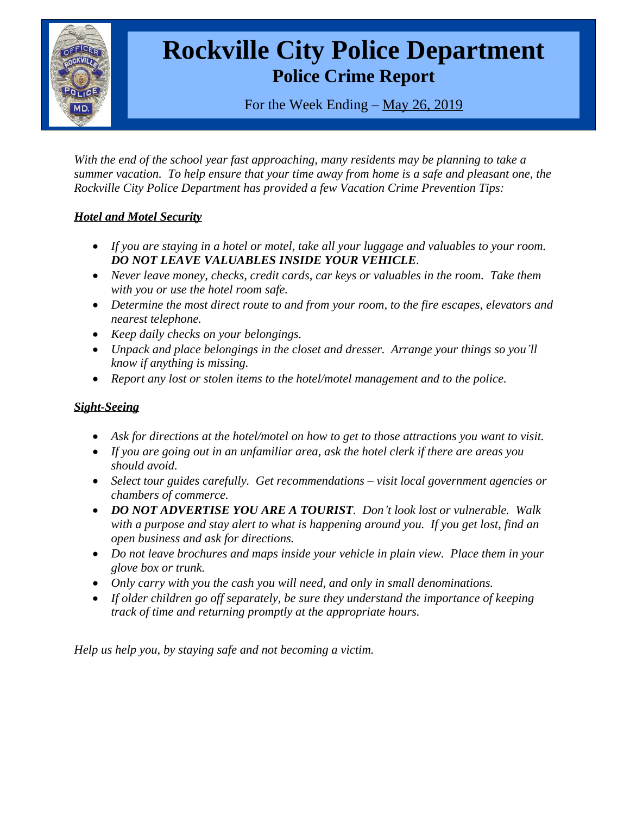

# **Rockville City Police Department Police Crime Report**

For the Week Ending – May 26, 2019

*With the end of the school year fast approaching, many residents may be planning to take a summer vacation. To help ensure that your time away from home is a safe and pleasant one, the Rockville City Police Department has provided a few Vacation Crime Prevention Tips:*

## *Hotel and Motel Security*

- *If you are staying in a hotel or motel, take all your luggage and valuables to your room. DO NOT LEAVE VALUABLES INSIDE YOUR VEHICLE.*
- *Never leave money, checks, credit cards, car keys or valuables in the room. Take them with you or use the hotel room safe.*
- *Determine the most direct route to and from your room, to the fire escapes, elevators and nearest telephone.*
- *Keep daily checks on your belongings.*
- *Unpack and place belongings in the closet and dresser. Arrange your things so you'll know if anything is missing.*
- *Report any lost or stolen items to the hotel/motel management and to the police.*

## *Sight-Seeing*

- *Ask for directions at the hotel/motel on how to get to those attractions you want to visit.*
- *If you are going out in an unfamiliar area, ask the hotel clerk if there are areas you should avoid.*
- Select tour guides carefully. Get recommendations visit local government agencies or *chambers of commerce.*
- *DO NOT ADVERTISE YOU ARE A TOURIST. Don't look lost or vulnerable. Walk with a purpose and stay alert to what is happening around you. If you get lost, find an open business and ask for directions.*
- Do not leave brochures and maps inside your vehicle in plain view. Place them in your *glove box or trunk.*
- *Only carry with you the cash you will need, and only in small denominations.*
- *If older children go off separately, be sure they understand the importance of keeping track of time and returning promptly at the appropriate hours.*

*Help us help you, by staying safe and not becoming a victim.*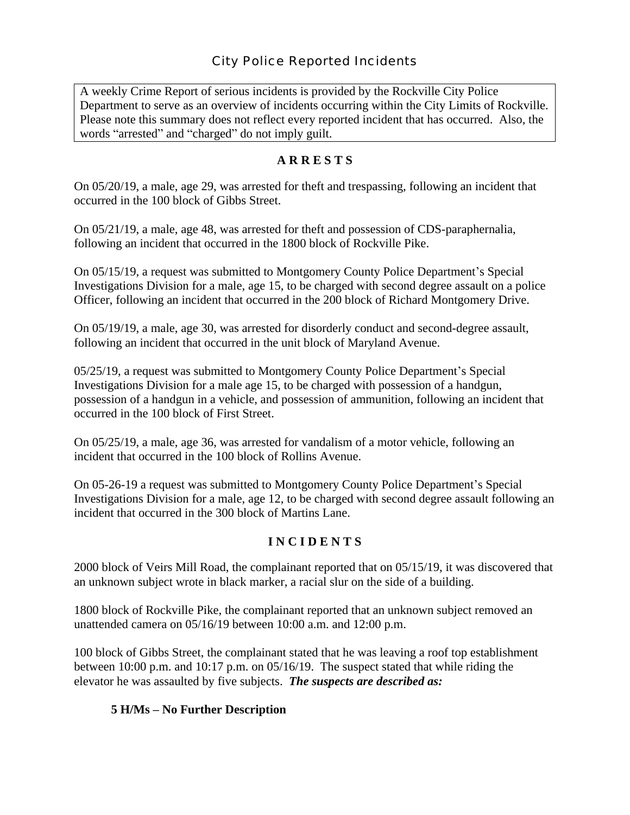A weekly Crime Report of serious incidents is provided by the Rockville City Police Department to serve as an overview of incidents occurring within the City Limits of Rockville. Please note this summary does not reflect every reported incident that has occurred. Also, the words "arrested" and "charged" do not imply guilt.

## **A R R E S T S**

On 05/20/19, a male, age 29, was arrested for theft and trespassing, following an incident that occurred in the 100 block of Gibbs Street.

On 05/21/19, a male, age 48, was arrested for theft and possession of CDS-paraphernalia, following an incident that occurred in the 1800 block of Rockville Pike.

On 05/15/19, a request was submitted to Montgomery County Police Department's Special Investigations Division for a male, age 15, to be charged with second degree assault on a police Officer, following an incident that occurred in the 200 block of Richard Montgomery Drive.

On 05/19/19, a male, age 30, was arrested for disorderly conduct and second-degree assault, following an incident that occurred in the unit block of Maryland Avenue.

05/25/19, a request was submitted to Montgomery County Police Department's Special Investigations Division for a male age 15, to be charged with possession of a handgun, possession of a handgun in a vehicle, and possession of ammunition, following an incident that occurred in the 100 block of First Street.

On 05/25/19, a male, age 36, was arrested for vandalism of a motor vehicle, following an incident that occurred in the 100 block of Rollins Avenue.

On 05-26-19 a request was submitted to Montgomery County Police Department's Special Investigations Division for a male, age 12, to be charged with second degree assault following an incident that occurred in the 300 block of Martins Lane.

## **I N C I D E N T S**

2000 block of Veirs Mill Road, the complainant reported that on 05/15/19, it was discovered that an unknown subject wrote in black marker, a racial slur on the side of a building.

1800 block of Rockville Pike, the complainant reported that an unknown subject removed an unattended camera on 05/16/19 between 10:00 a.m. and 12:00 p.m.

100 block of Gibbs Street, the complainant stated that he was leaving a roof top establishment between 10:00 p.m. and 10:17 p.m. on 05/16/19. The suspect stated that while riding the elevator he was assaulted by five subjects. *The suspects are described as:*

## **5 H/Ms – No Further Description**